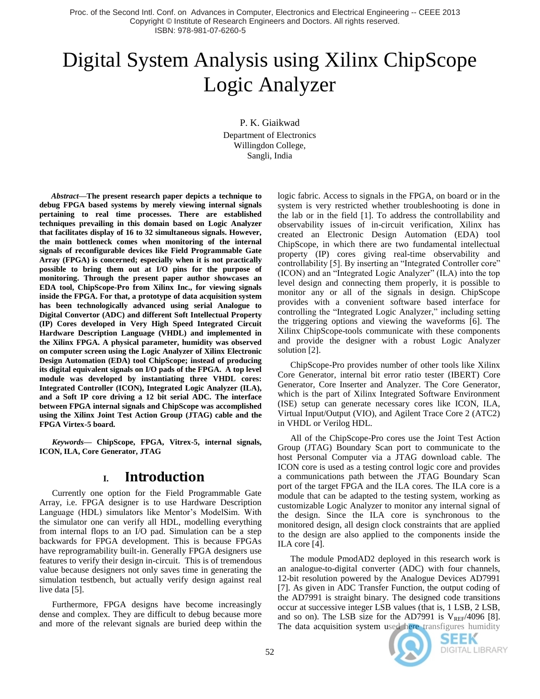Proc. of the Second Intl. Conf. on Advances in Computer, Electronics and Electrical Engineering -- CEEE 2013 Copyright © Institute of Research Engineers and Doctors. All rights reserved. ISBN: 978-981-07-6260-5

# Digital System Analysis using Xilinx ChipScope Logic Analyzer

P. K. Giaikwad Department of Electronics Willingdon College, Sangli, India

*Abstract***—The present research paper depicts a technique to debug FPGA based systems by merely viewing internal signals pertaining to real time processes. There are established techniques prevailing in this domain based on Logic Analyzer that facilitates display of 16 to 32 simultaneous signals. However, the main bottleneck comes when monitoring of the internal signals of reconfigurable devices like Field Programmable Gate Array (FPGA) is concerned; especially when it is not practically possible to bring them out at I/O pins for the purpose of monitoring. Through the present paper author showcases an EDA tool, ChipScope-Pro from Xilinx Inc., for viewing signals inside the FPGA. For that, a prototype of data acquisition system has been technologically advanced using serial Analogue to Digital Convertor (ADC) and different Soft Intellectual Property (IP) Cores developed in Very High Speed Integrated Circuit Hardware Description Language (VHDL) and implemented in the Xilinx FPGA. A physical parameter, humidity was observed on computer screen using the Logic Analyzer of Xilinx Electronic Design Automation (EDA) tool ChipScope; instead of producing its digital equivalent signals on I/O pads of the FPGA. A top level module was developed by instantiating three VHDL cores: Integrated Controller (ICON), Integrated Logic Analyzer (ILA), and a Soft IP core driving a 12 bit serial ADC. The interface between FPGA internal signals and ChipScope was accomplished using the Xilinx Joint Test Action Group (JTAG) cable and the FPGA Virtex-5 board.**

*Keywords—* **ChipScope, FPGA, Vitrex-5, internal signals, ICON, ILA, Core Generator, JTAG**

## **I. Introduction**

Currently one option for the Field Programmable Gate Array, i.e. FPGA designer is to use Hardware Description Language (HDL) simulators like Mentor's ModelSim. With the simulator one can verify all HDL, modelling everything from internal flops to an I/O pad. Simulation can be a step backwards for FPGA development. This is because FPGAs have reprogramability built-in. Generally FPGA designers use features to verify their design in-circuit. This is of tremendous value because designers not only saves time in generating the simulation testbench, but actually verify design against real live data [5].

Furthermore, FPGA designs have become increasingly dense and complex. They are difficult to debug because more and more of the relevant signals are buried deep within the logic fabric. Access to signals in the FPGA, on board or in the system is very restricted whether troubleshooting is done in the lab or in the field [1]. To address the controllability and observability issues of in-circuit verification, Xilinx has created an Electronic Design Automation (EDA) tool ChipScope, in which there are two fundamental intellectual property (IP) cores giving real-time observability and controllability [5]. By inserting an "Integrated Controller core" (ICON) and an "Integrated Logic Analyzer" (ILA) into the top level design and connecting them properly, it is possible to monitor any or all of the signals in design. ChipScope provides with a convenient software based interface for controlling the "Integrated Logic Analyzer," including setting the triggering options and viewing the waveforms [6]. The Xilinx ChipScope-tools communicate with these components and provide the designer with a robust Logic Analyzer solution [2].

ChipScope-Pro provides number of other tools like Xilinx Core Generator, internal bit error ratio tester (IBERT) Core Generator, Core Inserter and Analyzer. The Core Generator, which is the part of Xilinx Integrated Software Environment (ISE) setup can generate necessary cores like ICON, ILA, Virtual Input/Output (VIO), and Agilent Trace Core 2 (ATC2) in VHDL or Verilog HDL.

All of the ChipScope-Pro cores use the Joint Test Action Group (JTAG) Boundary Scan port to communicate to the host Personal Computer via a JTAG download cable. The ICON core is used as a testing control logic core and provides a communications path between the JTAG Boundary Scan port of the target FPGA and the ILA cores. The ILA core is a module that can be adapted to the testing system, working as customizable Logic Analyzer to monitor any internal signal of the design. Since the ILA core is synchronous to the monitored design, all design clock constraints that are applied to the design are also applied to the components inside the ILA core [4].

The module PmodAD2 deployed in this research work is an analogue-to-digital converter (ADC) with four channels, 12-bit resolution powered by the Analogue Devices AD7991 [7]. As given in ADC Transfer Function, the output coding of the AD7991 is straight binary. The designed code transitions occur at successive integer LSB values (that is, 1 LSB, 2 LSB, and so on). The LSB size for the AD7991 is  $V_{REF}/4096$  [8]. The data acquisition system used here transfigures humidity



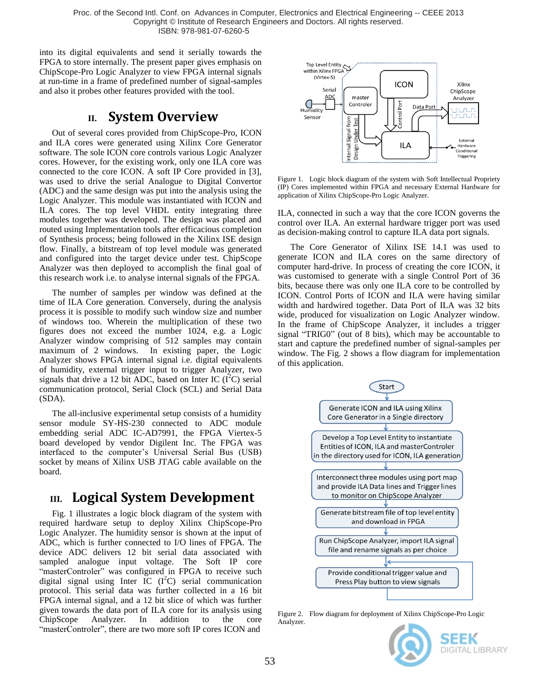Proc. of the Second Intl. Conf. on Advances in Computer, Electronics and Electrical Engineering -- CEEE 2013 Copyright © Institute of Research Engineers and Doctors. All rights reserved. ISBN: 978-981-07-6260-5

into its digital equivalents and send it serially towards the FPGA to store internally. The present paper gives emphasis on ChipScope-Pro Logic Analyzer to view FPGA internal signals at run-time in a frame of predefined number of signal-samples and also it probes other features provided with the tool.

### **II. System Overview**

Out of several cores provided from ChipScope-Pro, ICON and ILA cores were generated using Xilinx Core Generator software. The sole ICON core controls various Logic Analyzer cores. However, for the existing work, only one ILA core was connected to the core ICON. A soft IP Core provided in [3], was used to drive the serial Analogue to Digital Convertor (ADC) and the same design was put into the analysis using the Logic Analyzer. This module was instantiated with ICON and ILA cores. The top level VHDL entity integrating three modules together was developed. The design was placed and routed using Implementation tools after efficacious completion of Synthesis process; being followed in the Xilinx ISE design flow. Finally, a bitstream of top level module was generated and configured into the target device under test. ChipScope Analyzer was then deployed to accomplish the final goal of this research work i.e. to analyse internal signals of the FPGA.

The number of samples per window was defined at the time of ILA Core generation. Conversely, during the analysis process it is possible to modify such window size and number of windows too. Wherein the multiplication of these two figures does not exceed the number 1024, e.g. a Logic Analyzer window comprising of 512 samples may contain maximum of 2 windows. In existing paper, the Logic Analyzer shows FPGA internal signal i.e. digital equivalents of humidity, external trigger input to trigger Analyzer, two signals that drive a 12 bit ADC, based on Inter IC  $(I<sup>2</sup>C)$  serial communication protocol, Serial Clock (SCL) and Serial Data (SDA).

The all-inclusive experimental setup consists of a humidity sensor module SY-HS-230 connected to ADC module embedding serial ADC IC-AD7991, the FPGA Viertex-5 board developed by vendor Digilent Inc. The FPGA was interfaced to the computer's Universal Serial Bus (USB) socket by means of Xilinx USB JTAG cable available on the board.

## **III. Logical System Development**

Fig. 1 illustrates a logic block diagram of the system with required hardware setup to deploy Xilinx ChipScope-Pro Logic Analyzer. The humidity sensor is shown at the input of ADC, which is further connected to I/O lines of FPGA. The device ADC delivers 12 bit serial data associated with sampled analogue input voltage. The Soft IP core "masterControler" was configured in FPGA to receive such digital signal using Inter IC  $(I<sup>2</sup>C)$  serial communication protocol. This serial data was further collected in a 16 bit FPGA internal signal, and a 12 bit slice of which was further given towards the data port of ILA core for its analysis using ChipScope Analyzer. In addition to the core "masterControler", there are two more soft IP cores ICON and



Figure 1. Logic block diagram of the system with Soft Intellectual Propriety (IP) Cores implemented within FPGA and necessary External Hardware for application of Xilinx ChipScope-Pro Logic Analyzer.

ILA, connected in such a way that the core ICON governs the control over ILA. An external hardware trigger port was used as decision-making control to capture ILA data port signals.

The Core Generator of Xilinx ISE 14.1 was used to generate ICON and ILA cores on the same directory of computer hard-drive. In process of creating the core ICON, it was customised to generate with a single Control Port of 36 bits, because there was only one ILA core to be controlled by ICON. Control Ports of ICON and ILA were having similar width and hardwired together. Data Port of ILA was 32 bits wide, produced for visualization on Logic Analyzer window. In the frame of ChipScope Analyzer, it includes a trigger signal "TRIG0" (out of 8 bits), which may be accountable to start and capture the predefined number of signal-samples per window. The Fig. 2 shows a flow diagram for implementation of this application.



Figure 2. Flow diagram for deployment of Xilinx ChipScope-Pro Logic Analyzer.

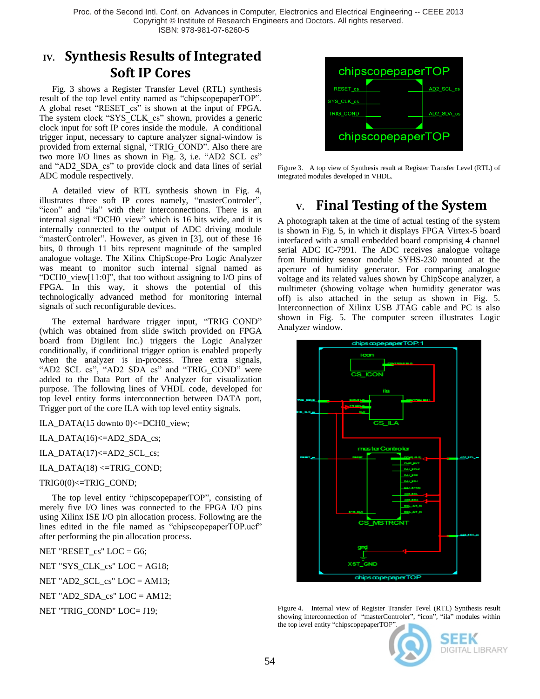Proc. of the Second Intl. Conf. on Advances in Computer, Electronics and Electrical Engineering -- CEEE 2013 Copyright © Institute of Research Engineers and Doctors. All rights reserved. ISBN: 978-981-07-6260-5

# **IV. Synthesis Results of Integrated Soft IP Cores**

Fig. 3 shows a Register Transfer Level (RTL) synthesis result of the top level entity named as "chipscopepaperTOP". A global reset "RESET\_cs" is shown at the input of FPGA. The system clock "SYS\_CLK\_cs" shown, provides a generic clock input for soft IP cores inside the module. A conditional trigger input, necessary to capture analyzer signal-window is provided from external signal, "TRIG\_COND". Also there are two more I/O lines as shown in Fig. 3, i.e. "AD2\_SCL\_cs" and "AD2 SDA cs" to provide clock and data lines of serial ADC module respectively.

A detailed view of RTL synthesis shown in Fig. 4, illustrates three soft IP cores namely, "masterControler", "icon" and "ila" with their interconnections. There is an internal signal "DCH0\_view" which is 16 bits wide, and it is internally connected to the output of ADC driving module "masterControler". However, as given in [3], out of these 16 bits, 0 through 11 bits represent magnitude of the sampled analogue voltage. The Xilinx ChipScope-Pro Logic Analyzer was meant to monitor such internal signal named as "DCH0\_view[11:0]", that too without assigning to I/O pins of FPGA. In this way, it shows the potential of this technologically advanced method for monitoring internal signals of such reconfigurable devices.

The external hardware trigger input, "TRIG COND" (which was obtained from slide switch provided on FPGA board from Digilent Inc.) triggers the Logic Analyzer conditionally, if conditional trigger option is enabled properly when the analyzer is in-process. Three extra signals, "AD2\_SCL\_cs", "AD2\_SDA\_cs" and "TRIG\_COND" were added to the Data Port of the Analyzer for visualization purpose. The following lines of VHDL code, developed for top level entity forms interconnection between DATA port, Trigger port of the core ILA with top level entity signals.

ILA\_DATA(15 downto 0)<=DCH0\_view;

ILA\_DATA $(16)$  <=AD2\_SDA\_cs;

ILA\_DATA(17)<=AD2\_SCL\_cs;

ILA\_DATA $(18)$  <=TRIG\_COND;

TRIG0(0)<=TRIG\_COND;

The top level entity "chipscopepaperTOP", consisting of merely five I/O lines was connected to the FPGA I/O pins using Xilinx ISE I/O pin allocation process. Following are the lines edited in the file named as "chipscopepaperTOP.ucf" after performing the pin allocation process.

NET "RESET\_cs" LOC = G6;

NET "SYS\_CLK\_cs" LOC = AG18;

NET "AD2\_SCL\_cs" LOC = AM13;

NET "AD2\_SDA\_cs" LOC = AM12;

NET "TRIG\_COND" LOC= J19;



Figure 3. A top view of Synthesis result at Register Transfer Level (RTL) of integrated modules developed in VHDL.

# **V. Final Testing of the System**

A photograph taken at the time of actual testing of the system is shown in Fig. 5, in which it displays FPGA Virtex-5 board interfaced with a small embedded board comprising 4 channel serial ADC IC-7991. The ADC receives analogue voltage from Humidity sensor module SYHS-230 mounted at the aperture of humidity generator. For comparing analogue voltage and its related values shown by ChipScope analyzer, a multimeter (showing voltage when humidity generator was off) is also attached in the setup as shown in Fig. 5. Interconnection of Xilinx USB JTAG cable and PC is also shown in Fig. 5. The computer screen illustrates Logic Analyzer window.



Figure 4. Internal view of Register Transfer Tevel (RTL) Synthesis result showing interconnection of "masterControler", "icon", "ila" modules within the top level entity "chipscopepaperTOP